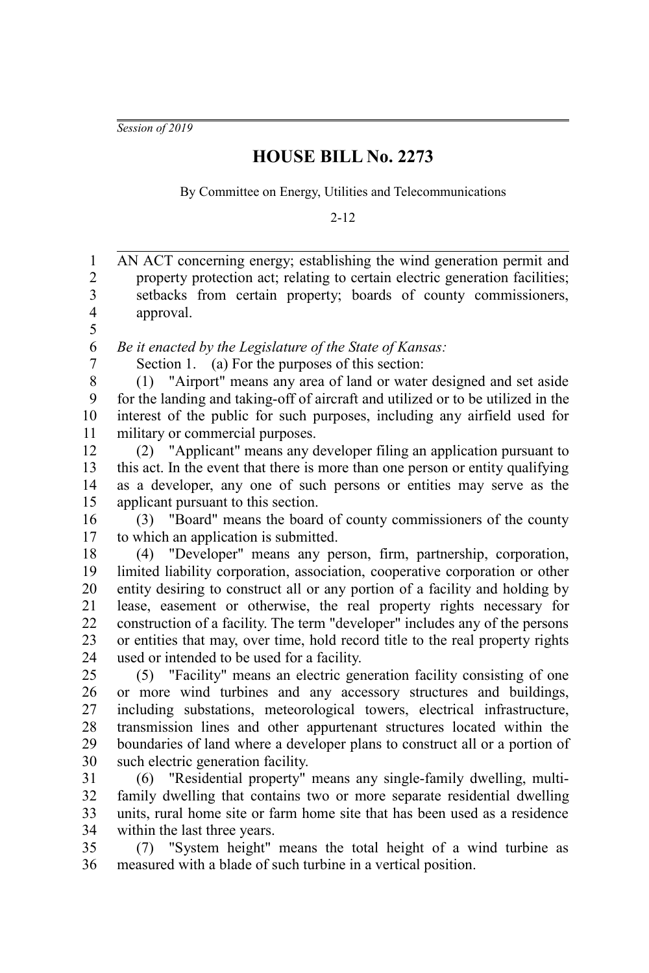*Session of 2019*

## **HOUSE BILL No. 2273**

By Committee on Energy, Utilities and Telecommunications

2-12

AN ACT concerning energy; establishing the wind generation permit and property protection act; relating to certain electric generation facilities; setbacks from certain property; boards of county commissioners, approval. *Be it enacted by the Legislature of the State of Kansas:* Section 1. (a) For the purposes of this section: (1) "Airport" means any area of land or water designed and set aside for the landing and taking-off of aircraft and utilized or to be utilized in the interest of the public for such purposes, including any airfield used for military or commercial purposes. (2) "Applicant" means any developer filing an application pursuant to this act. In the event that there is more than one person or entity qualifying as a developer, any one of such persons or entities may serve as the applicant pursuant to this section. (3) "Board" means the board of county commissioners of the county to which an application is submitted. (4) "Developer" means any person, firm, partnership, corporation, limited liability corporation, association, cooperative corporation or other entity desiring to construct all or any portion of a facility and holding by lease, easement or otherwise, the real property rights necessary for construction of a facility. The term "developer" includes any of the persons or entities that may, over time, hold record title to the real property rights used or intended to be used for a facility. (5) "Facility" means an electric generation facility consisting of one or more wind turbines and any accessory structures and buildings, including substations, meteorological towers, electrical infrastructure, transmission lines and other appurtenant structures located within the boundaries of land where a developer plans to construct all or a portion of such electric generation facility. (6) "Residential property" means any single-family dwelling, multifamily dwelling that contains two or more separate residential dwelling units, rural home site or farm home site that has been used as a residence within the last three years. (7) "System height" means the total height of a wind turbine as 1 2 3 4 5 6 7 8 9 10 11 12 13 14 15 16 17 18 19 20 21 22 23 24 25 26 27 28 29 30 31 32 33 34 35

measured with a blade of such turbine in a vertical position. 36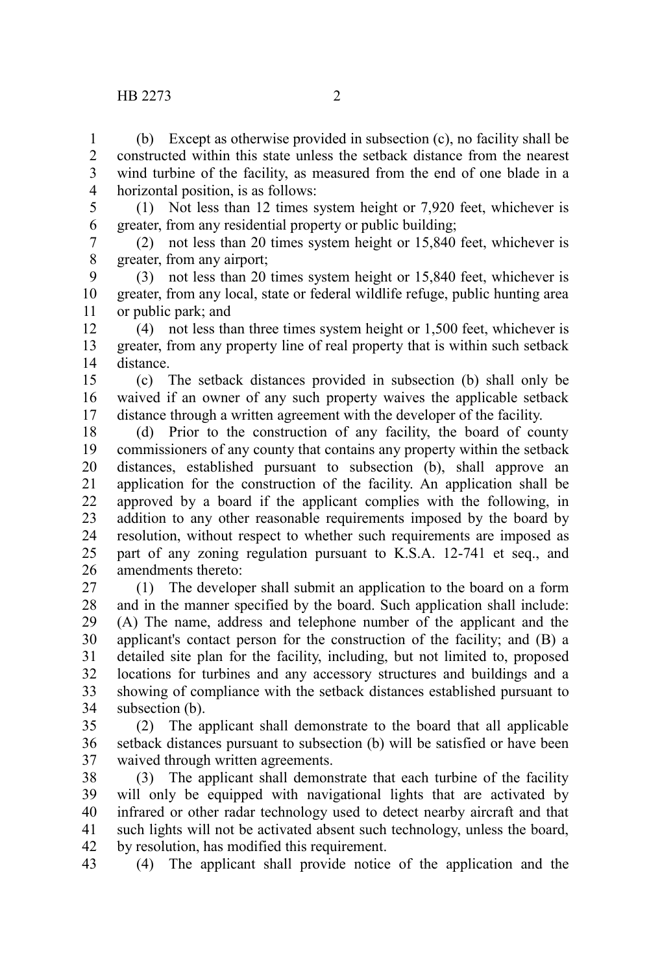(b) Except as otherwise provided in subsection (c), no facility shall be constructed within this state unless the setback distance from the nearest wind turbine of the facility, as measured from the end of one blade in a horizontal position, is as follows: 1 2 3 4

5

(1) Not less than 12 times system height or 7,920 feet, whichever is greater, from any residential property or public building; 6

(2) not less than 20 times system height or 15,840 feet, whichever is greater, from any airport; 7 8

(3) not less than 20 times system height or 15,840 feet, whichever is greater, from any local, state or federal wildlife refuge, public hunting area or public park; and 9 10 11

(4) not less than three times system height or 1,500 feet, whichever is greater, from any property line of real property that is within such setback distance. 12 13 14

(c) The setback distances provided in subsection (b) shall only be waived if an owner of any such property waives the applicable setback distance through a written agreement with the developer of the facility. 15 16 17

(d) Prior to the construction of any facility, the board of county commissioners of any county that contains any property within the setback distances, established pursuant to subsection (b), shall approve an application for the construction of the facility. An application shall be approved by a board if the applicant complies with the following, in addition to any other reasonable requirements imposed by the board by resolution, without respect to whether such requirements are imposed as part of any zoning regulation pursuant to K.S.A. 12-741 et seq., and amendments thereto: 18 19 20 21 22 23 24 25 26

(1) The developer shall submit an application to the board on a form and in the manner specified by the board. Such application shall include: (A) The name, address and telephone number of the applicant and the applicant's contact person for the construction of the facility; and (B) a detailed site plan for the facility, including, but not limited to, proposed locations for turbines and any accessory structures and buildings and a showing of compliance with the setback distances established pursuant to subsection (b). 27 28 29 30 31 32 33 34

(2) The applicant shall demonstrate to the board that all applicable setback distances pursuant to subsection (b) will be satisfied or have been waived through written agreements. 35 36 37

(3) The applicant shall demonstrate that each turbine of the facility will only be equipped with navigational lights that are activated by infrared or other radar technology used to detect nearby aircraft and that such lights will not be activated absent such technology, unless the board, by resolution, has modified this requirement. 38 39 40 41 42

(4) The applicant shall provide notice of the application and the 43